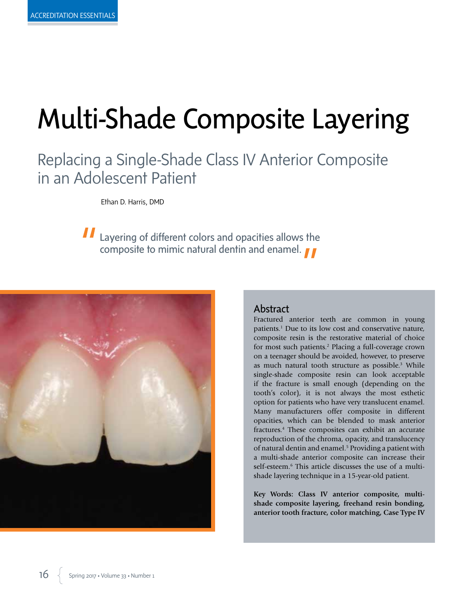# Multi-Shade Composite Layering

# Replacing a Single-Shade Class IV Anterior Composite in an Adolescent Patient

Ethan D. Harris, DMD

Layering of different colors and opacities allows the composite to mimic natural dentin and enamel.



# Abstract

Fractured anterior teeth are common in young patients.1 Due to its low cost and conservative nature, composite resin is the restorative material of choice for most such patients.<sup>2</sup> Placing a full-coverage crown on a teenager should be avoided, however, to preserve as much natural tooth structure as possible.<sup>3</sup> While single-shade composite resin can look acceptable if the fracture is small enough (depending on the tooth's color), it is not always the most esthetic option for patients who have very translucent enamel. Many manufacturers offer composite in different opacities, which can be blended to mask anterior fractures.4 These composites can exhibit an accurate reproduction of the chroma, opacity, and translucency of natural dentin and enamel.<sup>5</sup> Providing a patient with a multi-shade anterior composite can increase their self-esteem.6 This article discusses the use of a multishade layering technique in a 15-year-old patient.

**Key Words: Class IV anterior composite, multishade composite layering, freehand resin bonding, anterior tooth fracture, color matching, Case Type IV**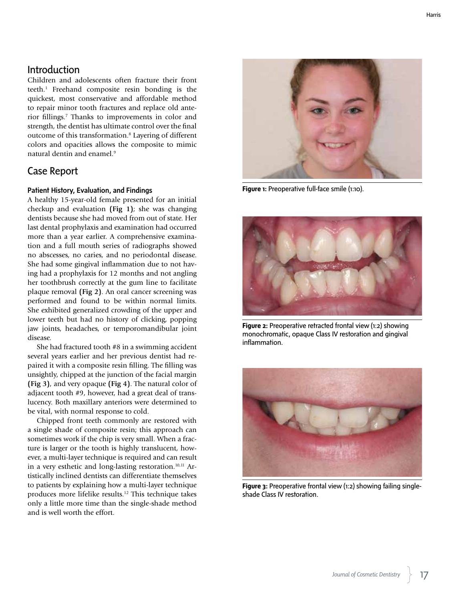# Introduction

Children and adolescents often fracture their front teeth.1 Freehand composite resin bonding is the quickest, most conservative and affordable method to repair minor tooth fractures and replace old anterior fillings.7 Thanks to improvements in color and strength, the dentist has ultimate control over the final outcome of this transformation.8 Layering of different colors and opacities allows the composite to mimic natural dentin and enamel.<sup>9</sup>

# Case Report

#### Patient History, Evaluation, and Findings

A healthy 15-year-old female presented for an initial checkup and evaluation **(Fig 1)**; she was changing dentists because she had moved from out of state. Her last dental prophylaxis and examination had occurred more than a year earlier. A comprehensive examination and a full mouth series of radiographs showed no abscesses, no caries, and no periodontal disease. She had some gingival inflammation due to not having had a prophylaxis for 12 months and not angling her toothbrush correctly at the gum line to facilitate plaque removal **(Fig 2)**. An oral cancer screening was performed and found to be within normal limits. She exhibited generalized crowding of the upper and lower teeth but had no history of clicking, popping jaw joints, headaches, or temporomandibular joint disease.

She had fractured tooth #8 in a swimming accident several years earlier and her previous dentist had repaired it with a composite resin filling. The filling was unsightly, chipped at the junction of the facial margin **(Fig 3)**, and very opaque **(Fig 4)**. The natural color of adjacent tooth #9, however, had a great deal of translucency. Both maxillary anteriors were determined to be vital, with normal response to cold.

Chipped front teeth commonly are restored with a single shade of composite resin; this approach can sometimes work if the chip is very small. When a fracture is larger or the tooth is highly translucent, however, a multi-layer technique is required and can result in a very esthetic and long-lasting restoration. $10,11$  Artistically inclined dentists can differentiate themselves to patients by explaining how a multi-layer technique produces more lifelike results.12 This technique takes only a little more time than the single-shade method and is well worth the effort.



Figure 1: Preoperative full-face smile (1:10).



**Figure 2:** Preoperative retracted frontal view (1:2) showing monochromatic, opaque Class IV restoration and gingival inflammation.



**Figure 3:** Preoperative frontal view (1:2) showing failing singleshade Class IV restoration.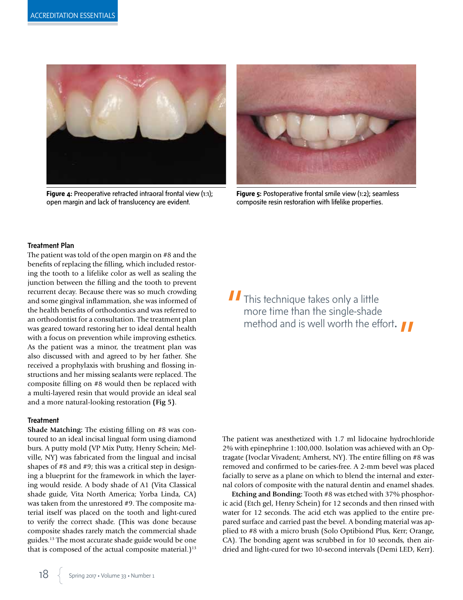

**Figure 4:** Preoperative retracted intraoral frontal view (1:1); open margin and lack of translucency are evident.



**Figure 5:** Postoperative frontal smile view (1:2); seamless composite resin restoration with lifelike properties.

#### Treatment Plan

The patient was told of the open margin on #8 and the benefits of replacing the filling, which included restoring the tooth to a lifelike color as well as sealing the junction between the filling and the tooth to prevent recurrent decay. Because there was so much crowding and some gingival inflammation, she was informed of the health benefits of orthodontics and was referred to an orthodontist for a consultation. The treatment plan was geared toward restoring her to ideal dental health with a focus on prevention while improving esthetics. As the patient was a minor, the treatment plan was also discussed with and agreed to by her father. She received a prophylaxis with brushing and flossing instructions and her missing sealants were replaced. The composite filling on #8 would then be replaced with a multi-layered resin that would provide an ideal seal and a more natural-looking restoration **(Fig 5)**.

#### **Treatment**

**Shade Matching:** The existing filling on #8 was contoured to an ideal incisal lingual form using diamond burs. A putty mold (VP Mix Putty, Henry Schein; Melville, NY) was fabricated from the lingual and incisal shapes of #8 and #9; this was a critical step in designing a blueprint for the framework in which the layering would reside. A body shade of A1 (Vita Classical shade guide, Vita North America; Yorba Linda, CA) was taken from the unrestored #9. The composite material itself was placed on the tooth and light-cured to verify the correct shade. (This was done because composite shades rarely match the commercial shade guides.13 The most accurate shade guide would be one that is composed of the actual composite material.)<sup>13</sup> II This technique takes only a little more time than the single-shade method and is well worth the effort**.** 

The patient was anesthetized with 1.7 ml lidocaine hydrochloride 2% with epinephrine 1:100,000. Isolation was achieved with an Optragate (Ivoclar Vivadent; Amherst, NY). The entire filling on #8 was removed and confirmed to be caries-free. A 2-mm bevel was placed facially to serve as a plane on which to blend the internal and external colors of composite with the natural dentin and enamel shades.

**Etching and Bonding:** Tooth #8 was etched with 37% phosphoric acid (Etch gel, Henry Schein) for 12 seconds and then rinsed with water for 12 seconds. The acid etch was applied to the entire prepared surface and carried past the bevel. A bonding material was applied to #8 with a micro brush (Solo Optibiond Plus, Kerr; Orange, CA). The bonding agent was scrubbed in for 10 seconds, then airdried and light-cured for two 10-second intervals (Demi LED, Kerr).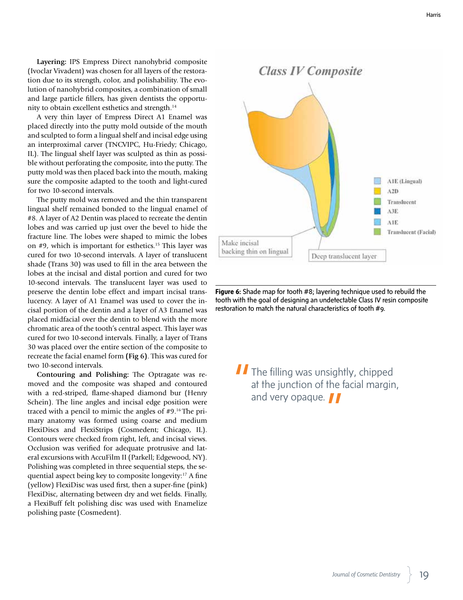**Layering:** IPS Empress Direct nanohybrid composite (Ivoclar Vivadent) was chosen for all layers of the restoration due to its strength, color, and polishability. The evolution of nanohybrid composites, a combination of small and large particle fillers, has given dentists the opportunity to obtain excellent esthetics and strength.<sup>14</sup>

A very thin layer of Empress Direct A1 Enamel was placed directly into the putty mold outside of the mouth and sculpted to form a lingual shelf and incisal edge using an interproximal carver (TNCVIPC, Hu-Friedy; Chicago, IL). The lingual shelf layer was sculpted as thin as possible without perforating the composite, into the putty. The putty mold was then placed back into the mouth, making sure the composite adapted to the tooth and light-cured for two 10-second intervals.

The putty mold was removed and the thin transparent lingual shelf remained bonded to the lingual enamel of #8. A layer of A2 Dentin was placed to recreate the dentin lobes and was carried up just over the bevel to hide the fracture line. The lobes were shaped to mimic the lobes on #9, which is important for esthetics.15 This layer was cured for two 10-second intervals. A layer of translucent shade (Trans 30) was used to fill in the area between the lobes at the incisal and distal portion and cured for two 10-second intervals. The translucent layer was used to preserve the dentin lobe effect and impart incisal translucency. A layer of A1 Enamel was used to cover the incisal portion of the dentin and a layer of A3 Enamel was placed midfacial over the dentin to blend with the more chromatic area of the tooth's central aspect. This layer was cured for two 10-second intervals. Finally, a layer of Trans 30 was placed over the entire section of the composite to recreate the facial enamel form **(Fig 6)**. This was cured for two 10-second intervals.

**Contouring and Polishing:** The Optragate was removed and the composite was shaped and contoured with a red-striped, flame-shaped diamond bur (Henry Schein). The line angles and incisal edge position were traced with a pencil to mimic the angles of #9.16 The primary anatomy was formed using coarse and medium FlexiDiscs and FlexiStrips (Cosmedent; Chicago, IL). Contours were checked from right, left, and incisal views. Occlusion was verified for adequate protrusive and lateral excursions with AccuFilm II (Parkell; Edgewood, NY). Polishing was completed in three sequential steps, the sequential aspect being key to composite longevity:17 A fine (yellow) FlexiDisc was used first, then a super-fine (pink) FlexiDisc, alternating between dry and wet fields. Finally, a FlexiBuff felt polishing disc was used with Enamelize polishing paste (Cosmedent).



**Figure 6:** Shade map for tooth #8; layering technique used to rebuild the tooth with the goal of designing an undetectable Class IV resin composite restoration to match the natural characteristics of tooth #9.

**The filling was unsightly, chipped** at the junction of the facial margin, and very opaque.  $\blacksquare$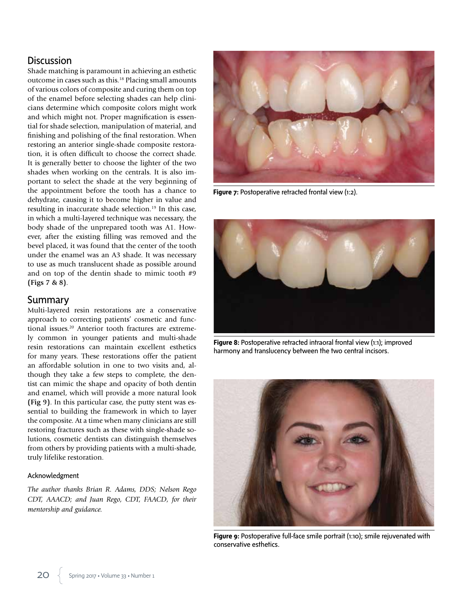# **Discussion**

Shade matching is paramount in achieving an esthetic outcome in cases such as this.18 Placing small amounts of various colors of composite and curing them on top of the enamel before selecting shades can help clinicians determine which composite colors might work and which might not. Proper magnification is essential for shade selection, manipulation of material, and finishing and polishing of the final restoration. When restoring an anterior single-shade composite restoration, it is often difficult to choose the correct shade. It is generally better to choose the lighter of the two shades when working on the centrals. It is also important to select the shade at the very beginning of the appointment before the tooth has a chance to dehydrate, causing it to become higher in value and resulting in inaccurate shade selection.<sup>19</sup> In this case, in which a multi-layered technique was necessary, the body shade of the unprepared tooth was A1. However, after the existing filling was removed and the bevel placed, it was found that the center of the tooth under the enamel was an A3 shade. It was necessary to use as much translucent shade as possible around and on top of the dentin shade to mimic tooth #9 **(Figs 7 & 8)**.

### Summary

Multi-layered resin restorations are a conservative approach to correcting patients' cosmetic and functional issues.<sup>20</sup> Anterior tooth fractures are extremely common in younger patients and multi-shade resin restorations can maintain excellent esthetics for many years. These restorations offer the patient an affordable solution in one to two visits and, although they take a few steps to complete, the dentist can mimic the shape and opacity of both dentin and enamel, which will provide a more natural look **(Fig 9)**. In this particular case, the putty stent was essential to building the framework in which to layer the composite. At a time when many clinicians are still restoring fractures such as these with single-shade solutions, cosmetic dentists can distinguish themselves from others by providing patients with a multi-shade, truly lifelike restoration.

#### Acknowledgment

*The author thanks Brian R. Adams, DDS; Nelson Rego CDT, AAACD; and Juan Rego, CDT, FAACD, for their mentorship and guidance.*



**Figure 7:** Postoperative retracted frontal view (1:2).



**Figure 8:** Postoperative retracted intraoral frontal view (1:1); improved harmony and translucency between the two central incisors.



**Figure 9:** Postoperative full-face smile portrait (1:10); smile rejuvenated with conservative esthetics.